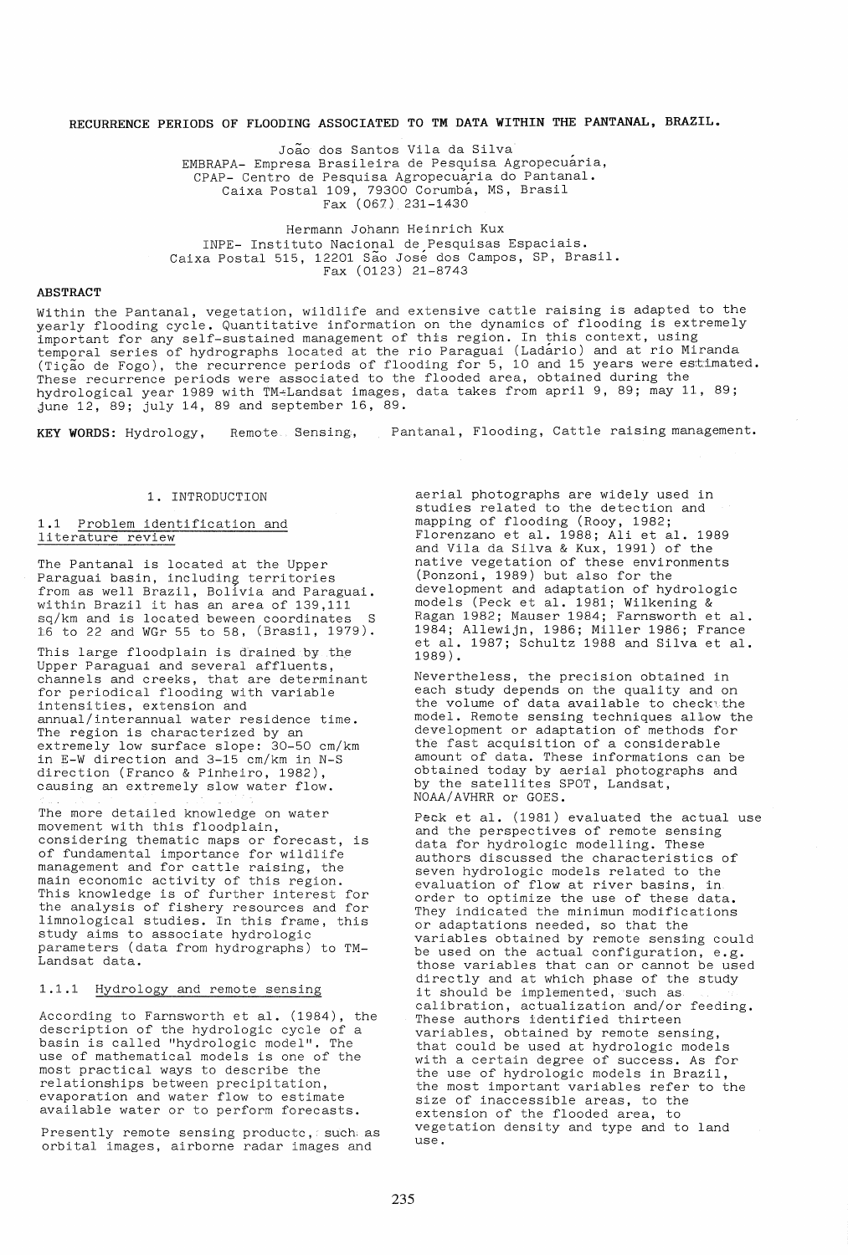# **RECURRENCE PERIODS OF FLOODING ASSOCIATED TO TM DATA WITHIN THE PANTANAL, BRAZIL.**

Joao dos Santos Vila da Silva EMBRAPA- Empresa Brasileira de Pesquisa Agropecuaria, CPAP- Centro de Pesquisa Agropecuaria do Pantanal. Caixa Postal 109, 79300 Corumba, MS, Brasil Fax (067) 231-1430

Hermann Johann Heinrich Kux INPE- Instituto Nacional de Pesquisas Espaciais. Caixa Postal 515, 12201 São José dos Campos, SP, Brasil. Fax (0123) 21-8743

## **ABSTRACT**

Within the Pantanal, vegetation, wildlife and extensive cattle raising is adapted to the yearly flooding cycle. Quantitative information on the dynamics of flooding is extremely important for any self-sustained management of this region. In this context, using temporal series of hydrographs located at the rio Paraguai (Ladario) and at rio Miranda (Tigao de Fogo), the recurrence periods of flooding for 5, 10 and 15 years were estimated. These recurrence periods were associated to the flooded area, obtained during the hydrological year 1989 with TM-Landsat images, data takes from april 9, 89; may 11, 89; june 12, 89; july 14, 89 and september 16, 89.

KEY WORDS: Hydrology, Remote Sensing, Pantanal, Flooding, Cattle raising management.

## 1. INTRODUCTION

## 1.1 Problem identification and literature review

The Pantanal is located at the Upper nno runtumar is recuted at the opper<br>Paraguai basin, including territories from as well Brazil, Bolivia and Paraguai. within Brazil it has an area of 139,111 sq/km and is located beween coordinates 16 to 22 and WGr 55 to 58, (Brasil, 1979).

This large floodplain is drained by the Upper Paraguai and several affluents, channels and creeks, that are determinant for periodical flooding with variable intensities, extension and annual/interannual water residence time. The region is characterized by an extremely low surface slope: 30-50 cm/km in E-W direction and 3-15 cm/km in N-S direction (Franco & Pinheiro, 1982), causing an extremely slow water flow.

The more detailed knowledge on water movement with this floodplain, considering thematic maps or forecast, is of fundamental importance for wildlife management and for cattle raising, the main economic activity of this region. This knowledge is of further interest for the analysis of fishery resources and for limnological studies. In this frame, this study aims to associate hydrologic parameters (data from hydrographs) to TM-Landsat data.

## 1.1.1 Hydrology and remote sensing

According to Farnsworth et al. (1984), the description of the hydrologic cycle of a basin is called "hydrologic model". The use of mathematical models is one of the most practical ways to describe the relationships between precipitation, evaporation and water flow to estimate available water or to perform forecasts.

Presently remote sensing producte, such as orbital images, airborne radar images and

aerial photographs are widely used in studies related to the detection and mapping of flooding (Rooy, 1982; Florenzano et al. 1988; Ali et al. 1989 and Vila da Silva & Kux, 1991) of the native vegetation of these environments (Ponzoni, 1989) but also for the development and adaptation of hydrologic models (Peck et al. 1981; Wilkening & Ragan 1982; Mauser 1984; Farnsworth et ale 1984; Allewijn, 1986; Miller 1986; France et al. 1987; Schultz 1988 and Silva et al. 1989).

Nevertheless, the precision obtained in each study depends on the quality and on the volume of data available to check the model. Remote sensing techniques allow the development or adaptation of methods for the fast acquisition of a considerable amount of data. These informations can be obtained today by aerial photographs and by the satellites SPOT, Landsat, NOAA/AVHRR or GOES.

Peck et al. (1981) evaluated the actual use and the perspectives of remote sensing data for hydrclogic modelling. These authors discussed the characteristics of seven hydrologic models related to the evaluation of flow at river basins, in order to optimize the use of these data. They indicated the minimun modifications or adaptations needed, so that the variables obtained by remote sensing could be used on the actual configuration, e.g. those variables that can or cannot be used directly and at which phase of the study it should be implemented, such as calibration, actualization and/or feeding. These authors identified thirteen variables, obtained by remote sensing, that could be used at hydrologic models with a certain degree of success. As for the use of hydrologic models in Brazil, the most important variables refer to the size of inaccessible areas, to the extension of the flooded area, to vegetation density and type and to land use.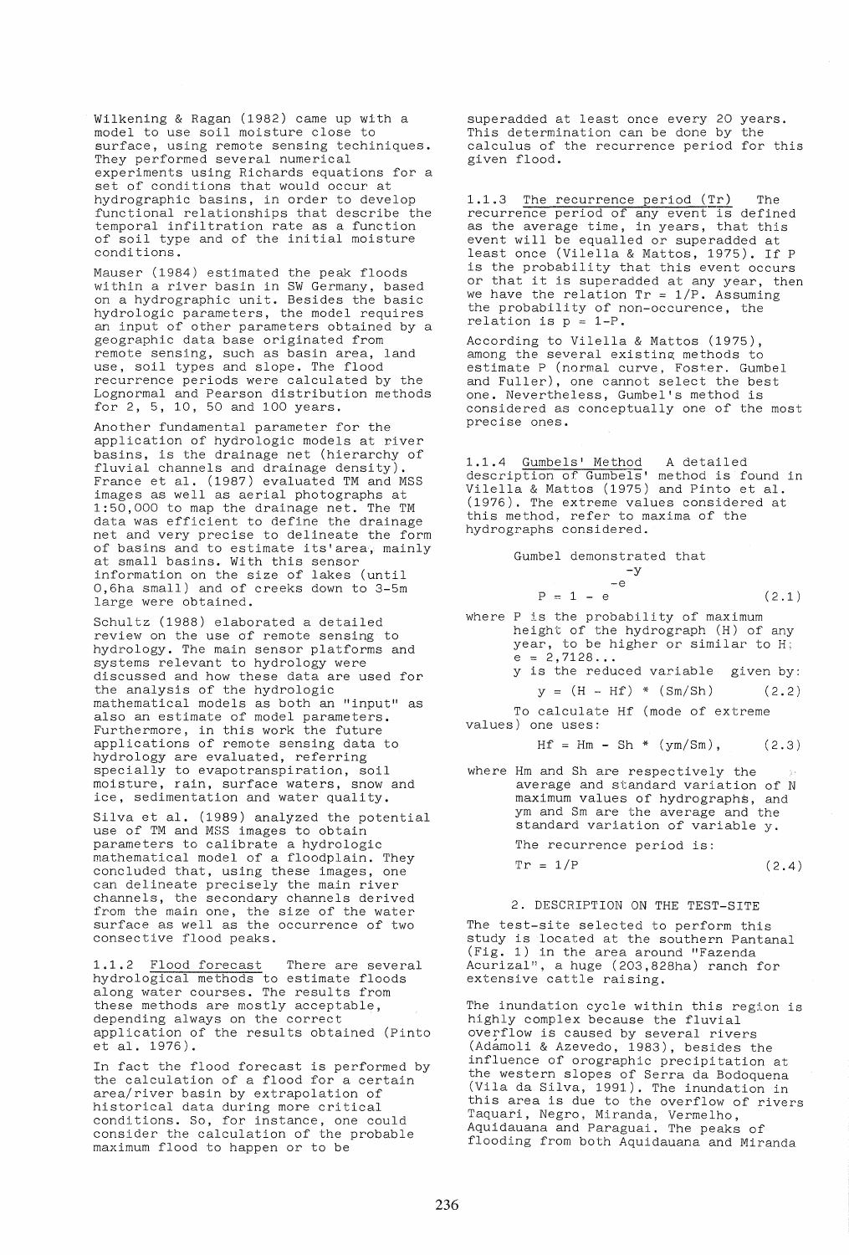Wilkening & Ragan (1982) came up with a model to use soil moisture close to surface, using remote sensing techiniques. They performed several numerical experiments using Richards equations for a set of conditions that would occur at hydrographic basins, in order to develop functional relationships that describe the temporal infiltration rate as a function of soil type and of the initial moisture conditions.

Mauser (1984) estimated the peak floods within a river basin in SW Germany, based on a hydrographic unit. Besides the basic hydrologic parameters, the model requires an input of other parameters obtained by a geographic data base originated from remote sensing, such as basin area, land use, soil types and slope. The flood recurrence periods were calculated by the Lognormal and Pearson distribution methods for 2, 5, 10, 50 and 100 years.

Another fundamental parameter for the application of hydrologic models at river basins, is the drainage net (hierarchy of fluvial channels and drainage density). France et al. (1987) evaluated TM and MSS images as well as aerial photographs at 1:50,000 to map the drainage net. The TM data was efficient to define the drainage net and very precise to delineate the form of basins and to estimate its'area, mainly at small basins. With this sensor information on the size of lakes (until 0,6ha small) and of creeks down to 3-5m large were obtained.

Schultz (1988) elaborated a detailed review on the use of remote sensing to hydrology. The main sensor platforms and systems relevant to hydrology were discussed and how these data are used for the analysis of the hydrologic mathematical models as both an "input" as also an estimate of model parameters. Furthermore, in this work the future applications of remote sensing data to hydrology are evaluated, referring specially to evapotranspiration, soil moisture, rain, surface waters, snow and ice, sedimentation and water quality.

Silva et al. (1989) analyzed the potential use of TM and MSS images to obtain parameters to calibrate a hydrologic mathematical model of a floodplain. They concluded that, using these images, one can delineate precisely the main river channels, the secondary channels derived from the main one, the size of the water surface as well as the occurrence of two consective flood peaks.

1.1.2 Flood forecast There are several hydrological methods to estimate floods along water courses. The results from these methods are mostly acceptable, depending always on the correct application of the results obtained (Pinto et a1. 1976).

In fact the flood forecast is performed by the calculation of a flood for a certain area/river basin by extrapolation of historical data during more critical conditions. So, for instance, one could consider the calculation of the probable maximum flood to happen or to be

superadded at least once every 20 years. This determination can be done by the calculus of the recurrence period for this given flood.

1.1.3 The recurrence period (Tr) The recurrence period of any event is defined as the average time, in years, that this event will be equalled or superadded at least once (Vilella & Mattos, 1975). If P is the probability that this event occurs or that it is superadded at any year, then we have the relation  $Tr = 1/P$ . Assuming the probability of non-occurence, the relation is  $p = 1-P$ .

According to Vilella & Mattos (1975), among the several existing methods to estimate P (normal curve, Foster. Gumbel and Fuller), one cannot select the best one. Nevertheless, Gumbel's method is considered as conceptually one of the most precise ones.

1.1.4 Gumbels' Method A detailed description of Gumbels' method is found in Vilella & Mattos (1975) and Pinto et al. (1976). The extreme values considered at this method, refer to maxima of the hydrographs considered.

|  | Gumbel demonstrated that |       |
|--|--------------------------|-------|
|  | $-v$                     |       |
|  | $-A$                     |       |
|  | $P = 1 - e$              | (2.1) |
|  |                          |       |

where P is the probability of maximum height of the hydrograph (H) of any year, to be higher or similar to  $H_i$ <br>e = 2,7128... Y is the reduced variable given by:

$$
y = (H - Hf) * (Sm / Sh)
$$
 (2.2)

To calculate Hf (mode of extreme values) one uses:

$$
Hf = Hm - Sh * (ym/Sm), \t(2.3)
$$

where Hm and Sh are respectively the average and standard variation of N maximum values of hydrographs, and ym and Sm are the average and the standard variation of variable y.

The recurrence period is:

 $Tr = 1/P$  (2.4)

## 2. DESCRIPTION ON THE TEST-SITE

The test-site selected to perform this study is located at the southern Pantanal (Fig. 1) in the area around "Fazenda Acurizal", a huge (203,828ha) ranch for extensive cattle raising.

The inundation cycle within this region is highly complex because the fluvial overflow is caused by several rivers (Adamoli & Azevedo, 1983), besides the influence of orographic precipitation at the western slopes of Serra da Bodoquena (Vila da Silva, 1991). The inundation in this area is due to the overflow of rivers Taquari, Negro, Miranda, Vermelho, Aquidauana and Paraguai. The peaks of flooding from both Aquidauana and Miranda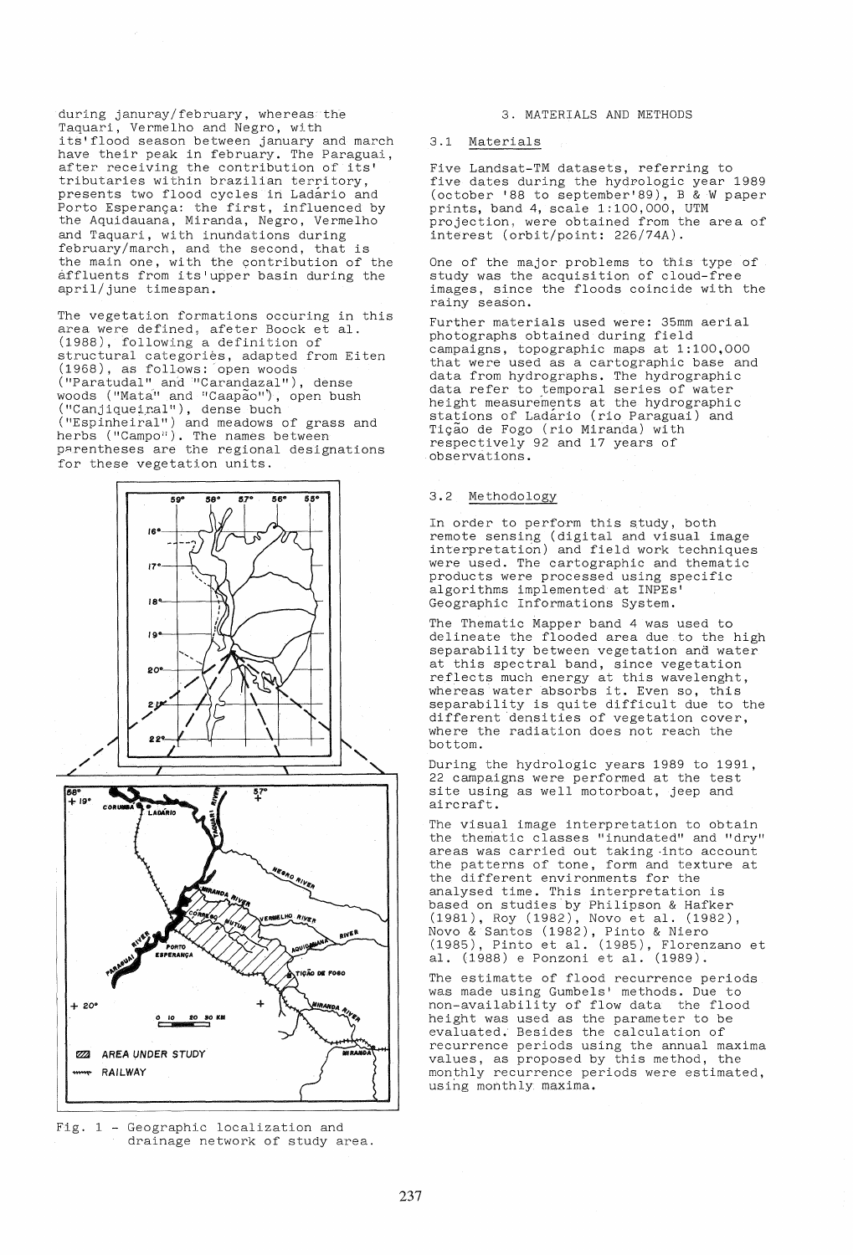during januray/february, whereas the Taquari, Vermelho and Negro, with its'flood season between january and march have their peak in february. The Paraguai, after receiving the contribution of its' tributaries within brazilian territory, presents two flood cycles in Ladario and .<br>Porto Esperança: the first, influenced by the Aquidauana, Miranda, Negro, Vermelho and Taquari, with inundations during february/march, and the second, that is the main one, with the contribution of the affluents from its'upper basin during the april/june timespan.

The vegetation formations occuring in this area were defined, afeter Boock et al. (1988), following a definition of structural categories, adapted from Eiten (1968), as follows: open woods ("Paratudal" and "Carandazal") , dense woods ("Mata" and "Caapao"), open bush  $("Canjugueiral")$ , dense buch ("Espinheiral") and meadows of grass and herbs ("Campo"). The names between parentheses are the regional designations for these vegetation units.



Fig.  $1$  - Geographic localization and drainage network of study area.

#### 3. MATERIALS AND METHODS

# 3.1 Materials

Five Landsat-TM datasets, referring to five dates during the hydrologic year 1989 (october '88 to september'89), B & W paper prints, band 4, scale 1: 100, 000, UTM projection, were obtained from the area of interest (orbit/point: 226/74A).

One of the major problems to this type of study was the acquisition of cloud-free images, since the floods coincide with the rainy season.

Further materials used were: 35mm aerial photographs obtained during field campaigns, topographic maps at 1:100,000 that were used as a cartographic base and data from hydrographs. The hydrographic data refer to temporal series of water height measurements at the hydrographic stations of Ladario (rio Paraguai) and Tição de Fogo (rio Miranda) with respectively 92 and 17 years of observations.

## 3.2 Methodology

In order to perform this study, both remote sensing (digital and visual image interpretaticin) and field work techniques were used. The cartographic and thematic products were processed using specific algorithms implemented at INPEs' Geographic Informations System.

The Thematic Mapper band 4 was used to delineate the flooded area due to the high separability between vegetation and water at this spectral band, since vegetation reflects much energy at this wavelenght, whereas water absorbs it. Even so, this separability is quite difficult due to the different 'densities of vegetation cover, where the radiation does not reach the bottom .

During the hydrologic years 1989 to 1991, 22 campaigns were performed at the test site using as well motorboat, jeep and aircraft.

The visual image interpretation to obtain the thematic classes "inundated" and "dry" areas was carried out taking -into account the patterns of tone, form and texture at the different environments for the analysed time. This interpretation is based on studies by Philipson & Hafker<br>(1981), Roy (1982), Novo et al. (1982), (1981), Roy (1982), Novo et ale (1982), Novo & Santos (1982), Pinto & Niero (1985), Pinto et al. (1985), Florenzano et al, (1988) e Ponzoni et al. (1989).

The estimatte of flood recurrence periods was made using Gumbels' methods. Due to non-availability of flow data the flood height was used as the parameter to be evaluated. Besides the calculation of recurrence periods using the annual maxima values, as proposed by this method, the monthly recurrence periods were estimated, using monthly maxima.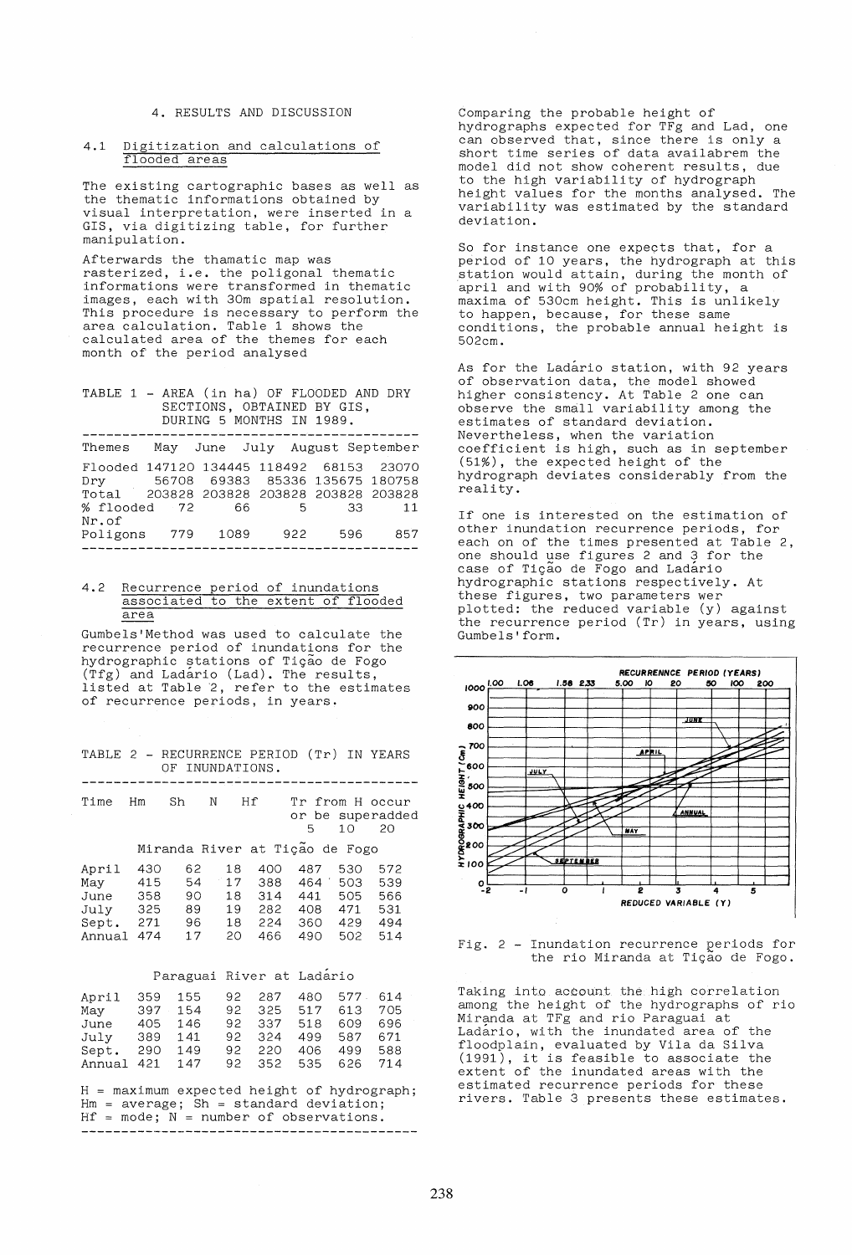# **4.** RESULTS AND DISCUSSION

#### 4.1 Digitization and calculations of flooded areas

The existing cartographic bases as well as the thematic informations obtained by visual interpretation, were inserted in a GIS, via digitizing table, for further manipulation.

Afterwards the thamatic map was rasterized, i.e. the poligonal thematic informations were transformed in thematic images, each with 30m spatial resolution. Indges, each with component resolution. area calculation. Table 1 shows the calculated area of the themes for each month of the period analysed

#### TABLE 1 - AREA (in ha) OF FLOODED AND DRY SECTIONS, OBTAINED BY GIS, DURING 5 MONTHS IN 1989.

| Themes                                   |     |      | May June July August September |      |     |
|------------------------------------------|-----|------|--------------------------------|------|-----|
| Flooded 147120 134445 118492 68153 23070 |     |      |                                |      |     |
| Dry 56708 69383 85336 135675 180758      |     |      |                                |      |     |
| Total 203828 203828 203828 203828 203828 |     |      |                                |      |     |
| % flooded 72                             |     | - 66 | 5 <sup>5</sup>                 | - 33 | 11  |
| Nr.of                                    |     |      |                                |      |     |
| Poligons                                 | 779 | 1089 | 922                            | 596  | 857 |
|                                          |     |      |                                |      |     |

# 4.2 Recurrence period of inundations associated to the extent of flooded area

Gumbels'Method was used to calculate the recurrence period of inundations for the hydrographic stations of TiQao de Fogo (Tfg) and Ladario (Lad). The results, listed at Table 2, refer to the estimates of recurrence periods, in years.

|  |  | TABLE 2 - RECURRENCE PERIOD (Tr) IN YEARS |  |  |
|--|--|-------------------------------------------|--|--|
|  |  | OF INUNDATIONS.                           |  |  |

| Time Hm | Sh . | N | Hf | Tr from H occur  |
|---------|------|---|----|------------------|
|         |      |   |    | or be superadded |
|         |      |   |    | 5 10 20          |

Miranda River at Tição de Fogo

| April  | 430 | 62 | 18 | 400 | 487 | 530 | 572 |
|--------|-----|----|----|-----|-----|-----|-----|
| May    | 415 | 54 | 17 | 388 | 464 | 503 | 539 |
| June   | 358 | 90 | 18 | 314 | 441 | 505 | 566 |
| Julv   | 325 | 89 | 19 | 282 | 408 | 471 | 531 |
| Sept.  | 271 | 96 | 18 | 224 | 360 | 429 | 494 |
| Annual | 474 | 17 | 20 | 466 | 490 | 502 | 514 |

## Paraguai River at Ladario

| April  | 359 | 155  | 92  | 287    | 480 | 577. | 614 |  |
|--------|-----|------|-----|--------|-----|------|-----|--|
| May    | 397 | 154  | 92. | 325    | 517 | 613  | 705 |  |
| June   | 405 | 146  | 92. | -337   | 518 | 609  | 696 |  |
| Julv   | 389 | 1.41 |     | 92 324 | 499 | 587  | 671 |  |
| Sept.  | 290 | 149  | 92. | 220    | 406 | 499  | 588 |  |
| Annual | 421 | 147  | 92. | 352    | 535 | 626  | 714 |  |

 $H =$  maximum expected height of hydrograph;  $Hm = average$ ; Sh = standard deviation; Hf = mode; N = number of observations. **------------------------------------------**

Comparing the probable height of hydrographs expected for TFg and Lad, one can observed that, since there is only a short time series of data availabrem the model did not show coherent results, due to the high variability of hydrograph height values for the months analysed. The variability was estimated by the standard deviation.

So for instance one expects that, for a period of 10 years, the hydrograph at this station would attain, during the month of april and wi th 90% of probabili ty, a maxima of 530cm height. This is unlikely to happen, because, for these same conditions, the probable annual height is 502cm.

As for the Ladario station, with 92 years of observation data, the model showed higher consistency. At Table 2 one can observe the small variability among the estimates of standard deviation. Nevertheless, when the variation coefficient is high, such as in september (51%), the expected height of the hydrograph deviates considerably from the reality.

If one is interested on the estimation of other inundation recurrence periods, for each on of the times presented at Table 2, one should use figures 2 and 3 for the case of Tição de Fogo and Ladario hydrographic stations respectively. At these figures, two parameters wer plotted: the reduced variable (y) against the recurrence period (Tr) in years, using Gumbels'form.



Fig. 2 - Inundation recurrence periods for the rio Miranda at Tição de Fogo.

Taking into account the. high correlation among the height of the hydrographs of rio Miranda at TFg and rio Paraguai at Ladario, with the inundated area of the floodplain, evaluated by Vila da Silva (1991), it is feasible to associate the extent of the inundated areas with the estimated recurrence periods for these rivers. Table 3 presents these estimates.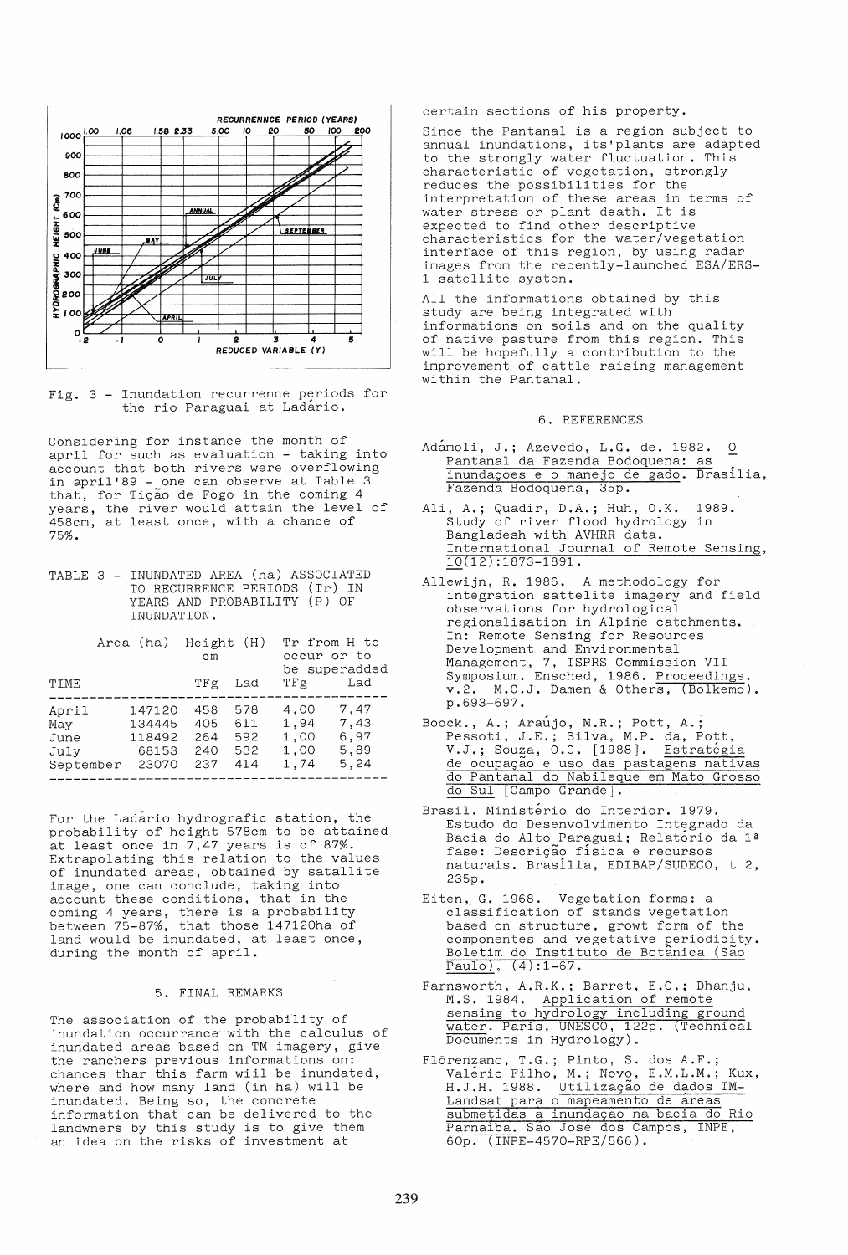

Fig. 3 - Inundation recurrence periods for the rio Paraguai at Ladario.

Considering for instance the month of april for such as evaluation - taking into account that both rivers were overflowing in april'89 - one can observe at Table 3 that, for Tição de Fogo in the coming 4 years, the river would attain the level of 458cm, at least once, with a chance of 75%.

TABLE 3 - INUNDATED AREA (ha) ASSOCIATED TO RECURRENCE PERIODS (Tr) IN YEARS AND PROBABILITY (P) OF INUNDATION.

|                                           | Area (ha) Height (H)                         | cm                              |                                 | Tr from H to<br>occur or to          | be superadded                        |
|-------------------------------------------|----------------------------------------------|---------------------------------|---------------------------------|--------------------------------------|--------------------------------------|
| TIME                                      |                                              | TFg                             | Lad                             | TFg                                  | Lad                                  |
| April<br>Mav<br>June<br>July<br>September | 147120<br>134445<br>118492<br>68153<br>23070 | 458<br>405<br>264<br>240<br>237 | 578<br>611<br>592<br>532<br>414 | 4,00<br>1.94<br>1,00<br>1,00<br>1,74 | 7,47<br>7,43<br>6,97<br>5,89<br>5,24 |

For the Ladario hydrografic station, the probability of height 578cm to be attained at least once in 7,47 years is of 87%. Extrapolating this relation to the values of inundated areas, obtained by satallite image, one can conclude, taking into account these conditions, that in the coming 4 years, there is a probability between 75-87%, that those 147120ha of land would be inundated, at least once, during the month of april.

## 5. FINAL REMARKS

The association of the probability of inundation occurrance with the calculus of inundated areas based on TM imagery, give the ranchers previous informations on: chances thar this farm wiil be inundated, where and how many land (in ha) will be inundated. Being so, the concrete information that can be delivered to the landwners by this study is to give them an idea on the risks of investment at

certain sections of his property.

Since the Pantanal is a region subject to annual inundations, its'plants are adapted to the strongly water fluctuation. This characteristic of vegetation, strongly reduces the possibilities for the interpretation of these areas in terms of water stress or plant death. It is expected to find other descriptive characteristics for the water/vegetation interface of this region, by using radar images from the recently-launched ESA/ERS-1 satellite systen.

All the informations obtained by this study are being integrated with informations on soils and on the quality of native pasture from this region. This will be hopefully a contribution to the improvement of cattle raising management within the Pantanal.

## 6. REFERENCES

- Adámoli, J.; Azevedo, L.G. de. 1982. 0 Pantanal da Fazenda Bodoquena: as inundações e o manejo de gado. Brasília, Fazenda Bodoquena, 35p.
- Ali, A.; Quadir, D.A.; Huh, O.K. 1989. Study of river flood hydrology in Bangladesh with AVHRR data. International Journal of Remote Sensing, 10(12):1873-1891.
- Allewijn, R. 1986. A methodology for integration sattelite imagery and field observations for hydrological regionalisation in Alpirie catchments. In: Remote Sensing for Resources Development and Environmental Management, 7, ISPRS Commission VII Symposium. Ensched, 1986. Proceedings. v.2. M.C.J. Damen & Others, (Bolkemo). p.693-697.
- Boock., A.; Araujo, M.R.; Pott, A.; Pessoti, J.E.; Silva, M.P. da, Pott, V.J.; Souza, O.C. [1988]. Estratégia de ocupação e uso das pastagens nativas do Pantanal do Nabileque em Mato Grosso do Sui [Campo Grande].
- Brasil. Ministerio do Interior. 1979. Estudo do Desenvolvimento Integrado da Bacia do Alto Paraguai; Relatorio da ls fase: Descri9ao fisica e recursos naturais. Brasilia, EDIBAP/SUDECO, t 2, 235p.
- Eiten, G. 1968. Vegetation forms: a classification of stands vegetation based on structure, growt form of the componentes and vegetative periodicity. Boletim do Instituto de Botânica (São Paulo), (4):1-67.
- Farnsworth, A.R.K.; Barret, E.C.; Dhanju, M.S. 1984. Application of remote sensing to hydrology including ground water. Paris, UNESCO, 122p. (Technical Documents in Hydrology).
- Flôrenzano, T.G.; Pinto, S. dos A.F.;<br>Valério Filho, M.: Novo, E.M.L.M.: Kux. Valério Filho, M.; Novo, E.M.L.M.; Kux, H.J.H. 1988. Utilização de dados TM-Landsat para 0 mapeamento de areas submetidas a inundação na bacia do Rio Parnaiba. Sao Jose dos Campos, INPE, 60p. (INPE-4570-RPE/566).